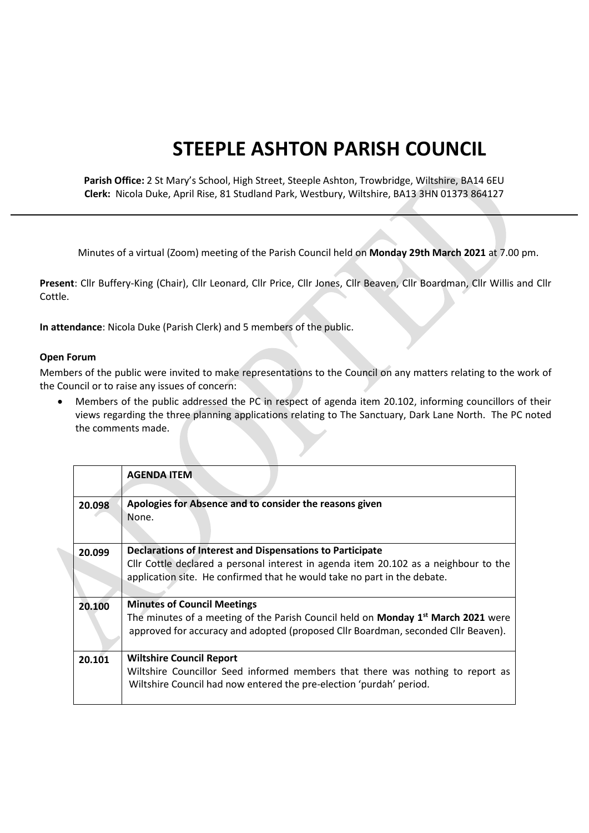## **STEEPLE ASHTON PARISH COUNCIL**

**Parish Office:** 2 St Mary's School, High Street, Steeple Ashton, Trowbridge, Wiltshire, BA14 6EU **Clerk:** Nicola Duke, April Rise, 81 Studland Park, Westbury, Wiltshire, BA13 3HN 01373 864127

Minutes of a virtual (Zoom) meeting of the Parish Council held on **Monday 29th March 2021** at 7.00 pm.

**Present**: Cllr Buffery-King (Chair), Cllr Leonard, Cllr Price, Cllr Jones, Cllr Beaven, Cllr Boardman, Cllr Willis and Cllr Cottle.

**In attendance**: Nicola Duke (Parish Clerk) and 5 members of the public.

## **Open Forum**

Members of the public were invited to make representations to the Council on any matters relating to the work of the Council or to raise any issues of concern:

 Members of the public addressed the PC in respect of agenda item 20.102, informing councillors of their views regarding the three planning applications relating to The Sanctuary, Dark Lane North. The PC noted the comments made.

|        | <b>AGENDA ITEM</b>                                                                                                                                                                                                            |
|--------|-------------------------------------------------------------------------------------------------------------------------------------------------------------------------------------------------------------------------------|
| 20.098 | Apologies for Absence and to consider the reasons given<br>None.                                                                                                                                                              |
| 20.099 | Declarations of Interest and Dispensations to Participate<br>Cllr Cottle declared a personal interest in agenda item 20.102 as a neighbour to the<br>application site. He confirmed that he would take no part in the debate. |
| 20.100 | <b>Minutes of Council Meetings</b><br>The minutes of a meeting of the Parish Council held on Monday 1st March 2021 were<br>approved for accuracy and adopted (proposed Cllr Boardman, seconded Cllr Beaven).                  |
| 20.101 | <b>Wiltshire Council Report</b><br>Wiltshire Councillor Seed informed members that there was nothing to report as<br>Wiltshire Council had now entered the pre-election 'purdah' period.                                      |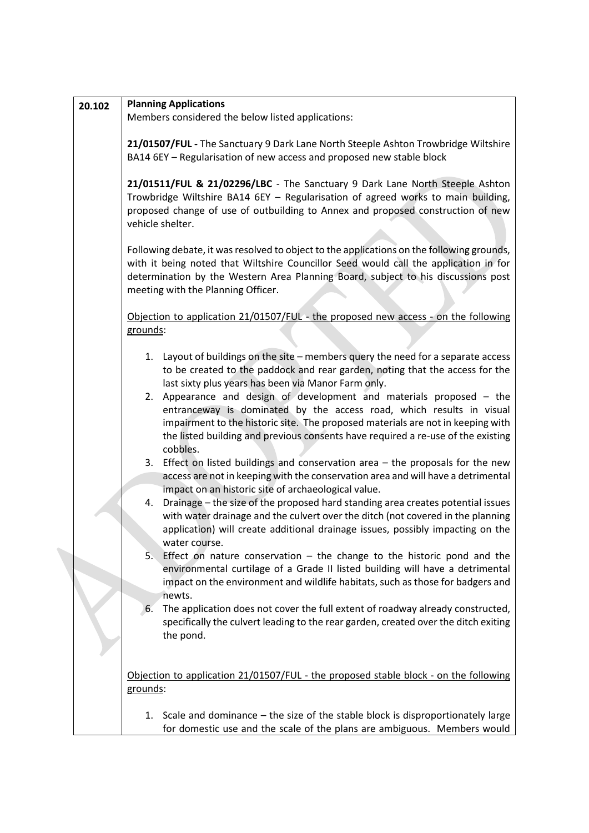| 20.102 | <b>Planning Applications</b>                                                                                                                                                                                                                                                                                                                                                                                                                                                                                                                                                            |  |  |  |
|--------|-----------------------------------------------------------------------------------------------------------------------------------------------------------------------------------------------------------------------------------------------------------------------------------------------------------------------------------------------------------------------------------------------------------------------------------------------------------------------------------------------------------------------------------------------------------------------------------------|--|--|--|
|        | Members considered the below listed applications:                                                                                                                                                                                                                                                                                                                                                                                                                                                                                                                                       |  |  |  |
|        | 21/01507/FUL - The Sanctuary 9 Dark Lane North Steeple Ashton Trowbridge Wiltshire<br>BA14 6EY - Regularisation of new access and proposed new stable block                                                                                                                                                                                                                                                                                                                                                                                                                             |  |  |  |
|        | 21/01511/FUL & 21/02296/LBC - The Sanctuary 9 Dark Lane North Steeple Ashton<br>Trowbridge Wiltshire BA14 6EY - Regularisation of agreed works to main building,<br>proposed change of use of outbuilding to Annex and proposed construction of new<br>vehicle shelter.<br>Following debate, it was resolved to object to the applications on the following grounds,<br>with it being noted that Wiltshire Councillor Seed would call the application in for<br>determination by the Western Area Planning Board, subject to his discussions post<br>meeting with the Planning Officer. |  |  |  |
|        |                                                                                                                                                                                                                                                                                                                                                                                                                                                                                                                                                                                         |  |  |  |
|        | Objection to application 21/01507/FUL - the proposed new access - on the following<br>grounds:                                                                                                                                                                                                                                                                                                                                                                                                                                                                                          |  |  |  |
|        | 1. Layout of buildings on the site - members query the need for a separate access<br>to be created to the paddock and rear garden, noting that the access for the<br>last sixty plus years has been via Manor Farm only.                                                                                                                                                                                                                                                                                                                                                                |  |  |  |
|        | 2. Appearance and design of development and materials proposed - the<br>entranceway is dominated by the access road, which results in visual<br>impairment to the historic site. The proposed materials are not in keeping with<br>the listed building and previous consents have required a re-use of the existing<br>cobbles.                                                                                                                                                                                                                                                         |  |  |  |
|        | 3. Effect on listed buildings and conservation area $-$ the proposals for the new<br>access are not in keeping with the conservation area and will have a detrimental<br>impact on an historic site of archaeological value.                                                                                                                                                                                                                                                                                                                                                            |  |  |  |
|        | Drainage - the size of the proposed hard standing area creates potential issues<br>4.<br>with water drainage and the culvert over the ditch (not covered in the planning<br>application) will create additional drainage issues, possibly impacting on the<br>water course.                                                                                                                                                                                                                                                                                                             |  |  |  |
|        | Effect on nature conservation $-$ the change to the historic pond and the<br>5.<br>environmental curtilage of a Grade II listed building will have a detrimental<br>impact on the environment and wildlife habitats, such as those for badgers and<br>newts.                                                                                                                                                                                                                                                                                                                            |  |  |  |
|        | The application does not cover the full extent of roadway already constructed,<br>6.<br>specifically the culvert leading to the rear garden, created over the ditch exiting<br>the pond.                                                                                                                                                                                                                                                                                                                                                                                                |  |  |  |
|        | Objection to application 21/01507/FUL - the proposed stable block - on the following<br>grounds:                                                                                                                                                                                                                                                                                                                                                                                                                                                                                        |  |  |  |
|        | 1. Scale and dominance – the size of the stable block is disproportionately large<br>for domestic use and the scale of the plans are ambiguous. Members would                                                                                                                                                                                                                                                                                                                                                                                                                           |  |  |  |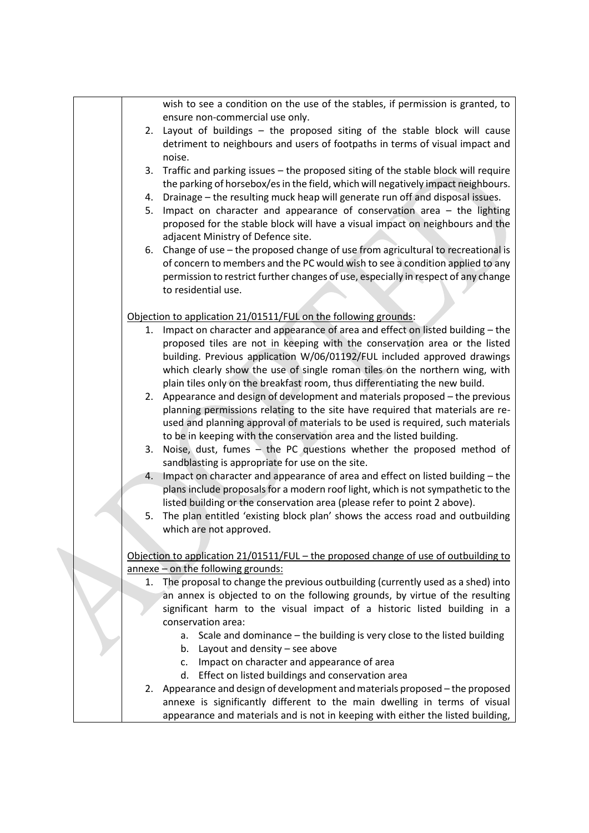|    | wish to see a condition on the use of the stables, if permission is granted, to      |
|----|--------------------------------------------------------------------------------------|
|    | ensure non-commercial use only.                                                      |
|    | 2. Layout of buildings - the proposed siting of the stable block will cause          |
|    | detriment to neighbours and users of footpaths in terms of visual impact and         |
|    | noise.                                                                               |
| 3. | Traffic and parking issues - the proposed siting of the stable block will require    |
|    | the parking of horsebox/es in the field, which will negatively impact neighbours.    |
| 4. | Drainage - the resulting muck heap will generate run off and disposal issues.        |
| 5. | Impact on character and appearance of conservation area - the lighting               |
|    | proposed for the stable block will have a visual impact on neighbours and the        |
|    |                                                                                      |
|    | adjacent Ministry of Defence site.                                                   |
|    | 6. Change of use - the proposed change of use from agricultural to recreational is   |
|    | of concern to members and the PC would wish to see a condition applied to any        |
|    | permission to restrict further changes of use, especially in respect of any change   |
|    | to residential use.                                                                  |
|    |                                                                                      |
|    | Objection to application 21/01511/FUL on the following grounds:                      |
| 1. | Impact on character and appearance of area and effect on listed building - the       |
|    | proposed tiles are not in keeping with the conservation area or the listed           |
|    | building. Previous application W/06/01192/FUL included approved drawings             |
|    | which clearly show the use of single roman tiles on the northern wing, with          |
|    | plain tiles only on the breakfast room, thus differentiating the new build.          |
| 2. | Appearance and design of development and materials proposed - the previous           |
|    |                                                                                      |
|    | planning permissions relating to the site have required that materials are re-       |
|    | used and planning approval of materials to be used is required, such materials       |
|    | to be in keeping with the conservation area and the listed building.                 |
| 3. | Noise, dust, fumes $-$ the PC questions whether the proposed method of               |
|    | sandblasting is appropriate for use on the site.                                     |
| 4. | Impact on character and appearance of area and effect on listed building - the       |
|    | plans include proposals for a modern roof light, which is not sympathetic to the     |
|    | listed building or the conservation area (please refer to point 2 above).            |
| 5. | The plan entitled 'existing block plan' shows the access road and outbuilding        |
|    | which are not approved.                                                              |
|    |                                                                                      |
|    | Objection to application 21/01511/FUL - the proposed change of use of outbuilding to |
|    | annexe - on the following grounds:                                                   |
| 1. | The proposal to change the previous outbuilding (currently used as a shed) into      |
|    | an annex is objected to on the following grounds, by virtue of the resulting         |
|    | significant harm to the visual impact of a historic listed building in a             |
|    | conservation area:                                                                   |
|    | a. Scale and dominance – the building is very close to the listed building           |
|    |                                                                                      |
|    | b. Layout and density - see above                                                    |
|    | c. Impact on character and appearance of area                                        |
|    | d. Effect on listed buildings and conservation area                                  |
|    | 2. Appearance and design of development and materials proposed - the proposed        |
|    | annexe is significantly different to the main dwelling in terms of visual            |
|    | appearance and materials and is not in keeping with either the listed building,      |
|    |                                                                                      |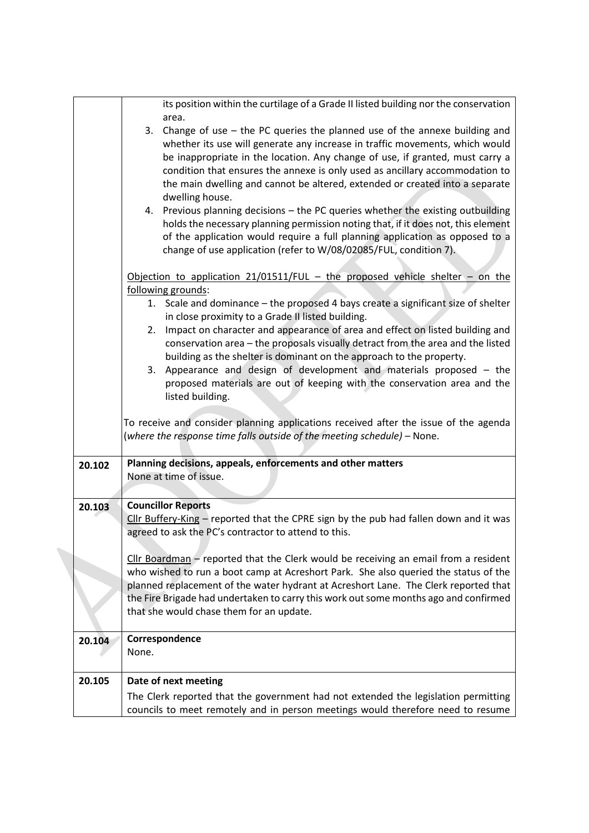|        | its position within the curtilage of a Grade II listed building nor the conservation<br>area.                                                                                                                                                                                                                                                                                                                                                                                                                                                                                                                                                           |
|--------|---------------------------------------------------------------------------------------------------------------------------------------------------------------------------------------------------------------------------------------------------------------------------------------------------------------------------------------------------------------------------------------------------------------------------------------------------------------------------------------------------------------------------------------------------------------------------------------------------------------------------------------------------------|
|        | Change of use $-$ the PC queries the planned use of the annexe building and<br>3.<br>whether its use will generate any increase in traffic movements, which would<br>be inappropriate in the location. Any change of use, if granted, must carry a<br>condition that ensures the annexe is only used as ancillary accommodation to<br>the main dwelling and cannot be altered, extended or created into a separate                                                                                                                                                                                                                                      |
|        | dwelling house.<br>4. Previous planning decisions - the PC queries whether the existing outbuilding<br>holds the necessary planning permission noting that, if it does not, this element<br>of the application would require a full planning application as opposed to a<br>change of use application (refer to W/08/02085/FUL, condition 7).                                                                                                                                                                                                                                                                                                           |
|        | Objection to application $21/01511/FUL$ – the proposed vehicle shelter – on the<br>following grounds:<br>1. Scale and dominance - the proposed 4 bays create a significant size of shelter<br>in close proximity to a Grade II listed building.<br>Impact on character and appearance of area and effect on listed building and<br>2.<br>conservation area - the proposals visually detract from the area and the listed<br>building as the shelter is dominant on the approach to the property.<br>Appearance and design of development and materials proposed - the<br>3.<br>proposed materials are out of keeping with the conservation area and the |
|        | listed building.<br>To receive and consider planning applications received after the issue of the agenda<br>(where the response time falls outside of the meeting schedule) – None.                                                                                                                                                                                                                                                                                                                                                                                                                                                                     |
| 20.102 | Planning decisions, appeals, enforcements and other matters<br>None at time of issue.                                                                                                                                                                                                                                                                                                                                                                                                                                                                                                                                                                   |
| 20.103 | <b>Councillor Reports</b><br>Cllr Buffery-King - reported that the CPRE sign by the pub had fallen down and it was<br>agreed to ask the PC's contractor to attend to this.                                                                                                                                                                                                                                                                                                                                                                                                                                                                              |
|        | Cllr Boardman - reported that the Clerk would be receiving an email from a resident<br>who wished to run a boot camp at Acreshort Park. She also queried the status of the<br>planned replacement of the water hydrant at Acreshort Lane. The Clerk reported that<br>the Fire Brigade had undertaken to carry this work out some months ago and confirmed<br>that she would chase them for an update.                                                                                                                                                                                                                                                   |
| 20.104 | Correspondence<br>None.                                                                                                                                                                                                                                                                                                                                                                                                                                                                                                                                                                                                                                 |
| 20.105 | Date of next meeting<br>The Clerk reported that the government had not extended the legislation permitting<br>councils to meet remotely and in person meetings would therefore need to resume                                                                                                                                                                                                                                                                                                                                                                                                                                                           |